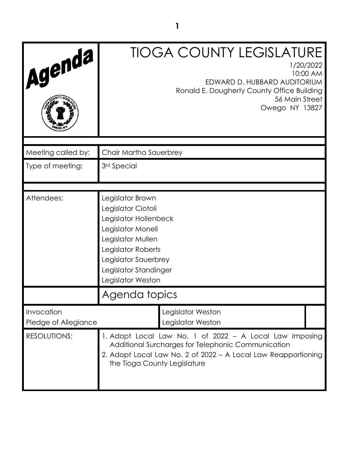| Agenda                             |                                                                                                                                                                                                                | <b>TIOGA COUNTY LEGISLATURE</b><br>EDWARD D. HUBBARD AUDITORIUM<br>Ronald E. Dougherty County Office Building<br>56 Main Street<br>Owego NY 13827 | 1/20/2022<br>10:00 AM |
|------------------------------------|----------------------------------------------------------------------------------------------------------------------------------------------------------------------------------------------------------------|---------------------------------------------------------------------------------------------------------------------------------------------------|-----------------------|
| Meeting called by:                 | Chair Martha Sauerbrey                                                                                                                                                                                         |                                                                                                                                                   |                       |
| Type of meeting:                   | 3rd Special                                                                                                                                                                                                    |                                                                                                                                                   |                       |
|                                    |                                                                                                                                                                                                                |                                                                                                                                                   |                       |
| Attendees:                         | Legislator Brown<br>Legislator Ciotoli<br>Legislator Hollenbeck<br>Legislator Monell<br>Legislator Mullen<br>Legislator Roberts<br>Legislator Sauerbrey<br>Legislator Standinger<br>Legislator Weston          |                                                                                                                                                   |                       |
|                                    | Agenda topics                                                                                                                                                                                                  |                                                                                                                                                   |                       |
| Invocation<br>Pledge of Allegiance |                                                                                                                                                                                                                | Legislator Weston<br>Legislator Weston                                                                                                            |                       |
| <b>RESOLUTIONS:</b>                | 1. Adopt Local Law No. 1 of 2022 - A Local Law Imposing<br>Additional Surcharges for Telephonic Communication<br>2. Adopt Local Law No. 2 of 2022 - A Local Law Reapportioning<br>the Tioga County Legislature |                                                                                                                                                   |                       |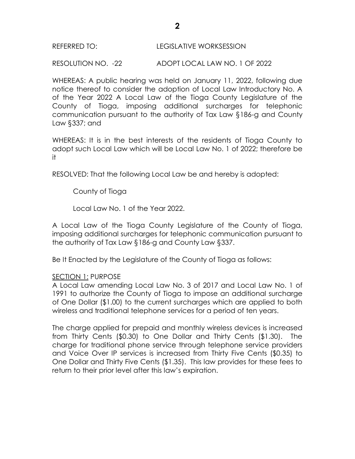## REFERRED TO: LEGISLATIVE WORKSESSION

RESOLUTION NO. -22 ADOPT LOCAL LAW NO. 1 OF 2022

WHEREAS: A public hearing was held on January 11, 2022, following due notice thereof to consider the adoption of Local Law Introductory No. A of the Year 2022 A Local Law of the Tioga County Legislature of the County of Tioga, imposing additional surcharges for telephonic communication pursuant to the authority of Tax Law §186-g and County Law §337; and

WHEREAS: It is in the best interests of the residents of Tioga County to adopt such Local Law which will be Local Law No. 1 of 2022; therefore be it

RESOLVED: That the following Local Law be and hereby is adopted:

County of Tioga

Local Law No. 1 of the Year 2022.

A Local Law of the Tioga County Legislature of the County of Tioga, imposing additional surcharges for telephonic communication pursuant to the authority of Tax Law §186-g and County Law §337.

Be It Enacted by the Legislature of the County of Tioga as follows:

## SECTION 1: PURPOSE

A Local Law amending Local Law No. 3 of 2017 and Local Law No. 1 of 1991 to authorize the County of Tioga to impose an additional surcharge of One Dollar (\$1.00) to the current surcharges which are applied to both wireless and traditional telephone services for a period of ten years.

The charge applied for prepaid and monthly wireless devices is increased from Thirty Cents (\$0.30) to One Dollar and Thirty Cents (\$1.30). The charge for traditional phone service through telephone service providers and Voice Over IP services is increased from Thirty Five Cents (\$0.35) to One Dollar and Thirty Five Cents (\$1.35). This law provides for these fees to return to their prior level after this law's expiration.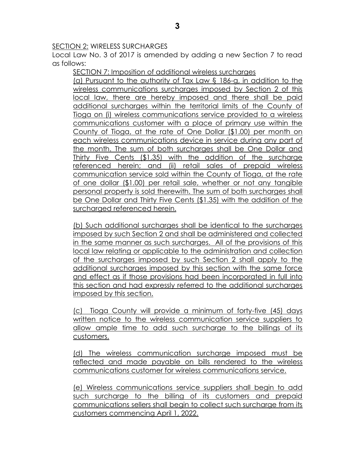## SECTION 2: WIRELESS SURCHARGES

Local Law No. 3 of 2017 is amended by adding a new Section 7 to read as follows:

SECTION 7: Imposition of additional wireless surcharges

(a) Pursuant to the authority of Tax Law § 186-g, in addition to the wireless communications surcharges imposed by Section 2 of this local law, there are hereby imposed and there shall be paid additional surcharges within the territorial limits of the County of Tioga on (i) wireless communications service provided to a wireless communications customer with a place of primary use within the County of Tioga, at the rate of One Dollar (\$1.00) per month on each wireless communications device in service during any part of the month. The sum of both surcharges shall be One Dollar and Thirty Five Cents (\$1.35) with the addition of the surcharge referenced herein; and (ii) retail sales of prepaid wireless communication service sold within the County of Tioga, at the rate of one dollar (\$1.00) per retail sale, whether or not any tangible personal property is sold therewith. The sum of both surcharges shall be One Dollar and Thirty Five Cents (\$1.35) with the addition of the surcharged referenced herein.

(b) Such additional surcharges shall be identical to the surcharges imposed by such Section 2 and shall be administered and collected in the same manner as such surcharges. All of the provisions of this local law relating or applicable to the administration and collection of the surcharges imposed by such Section 2 shall apply to the additional surcharges imposed by this section with the same force and effect as if those provisions had been incorporated in full into this section and had expressly referred to the additional surcharges imposed by this section.

(c) Tioga County will provide a minimum of forty-five (45) days written notice to the wireless communication service suppliers to allow ample time to add such surcharge to the billings of its customers.

(d) The wireless communication surcharge imposed must be reflected and made payable on bills rendered to the wireless communications customer for wireless communications service.

(e) Wireless communications service suppliers shall begin to add such surcharge to the billing of its customers and prepaid communications sellers shall begin to collect such surcharge from its customers commencing April 1, 2022.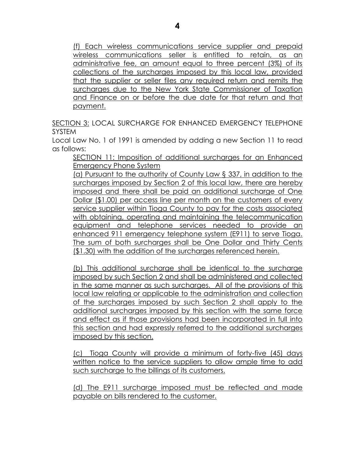(f) Each wireless communications service supplier and prepaid wireless communications seller is entitled to retain, as an administrative fee, an amount equal to three percent (3%) of its collections of the surcharges imposed by this local law, provided that the supplier or seller files any required return and remits the surcharges due to the New York State Commissioner of Taxation and Finance on or before the due date for that return and that payment.

SECTION 3: LOCAL SURCHARGE FOR ENHANCED EMERGENCY TELEPHONE SYSTEM

Local Law No. 1 of 1991 is amended by adding a new Section 11 to read as follows:

SECTION 11: Imposition of additional surcharges for an Enhanced Emergency Phone System

(a) Pursuant to the authority of County Law § 337, in addition to the surcharges imposed by Section 2 of this local law, there are hereby imposed and there shall be paid an additional surcharge of One Dollar (\$1.00) per access line per month on the customers of every service supplier within Tioga County to pay for the costs associated with obtaining, operating and maintaining the telecommunication equipment and telephone services needed to provide an enhanced 911 emergency telephone system (E911) to serve Tioga. The sum of both surcharges shall be One Dollar and Thirty Cents (\$1.30) with the addition of the surcharges referenced herein.

(b) This additional surcharge shall be identical to the surcharge imposed by such Section 2 and shall be administered and collected in the same manner as such surcharges. All of the provisions of this local law relating or applicable to the administration and collection of the surcharges imposed by such Section 2 shall apply to the additional surcharges imposed by this section with the same force and effect as if those provisions had been incorporated in full into this section and had expressly referred to the additional surcharges imposed by this section.

(c) Tioga County will provide a minimum of forty-five (45) days written notice to the service suppliers to allow ample time to add such surcharge to the billings of its customers.

(d) The E911 surcharge imposed must be reflected and made payable on bills rendered to the customer.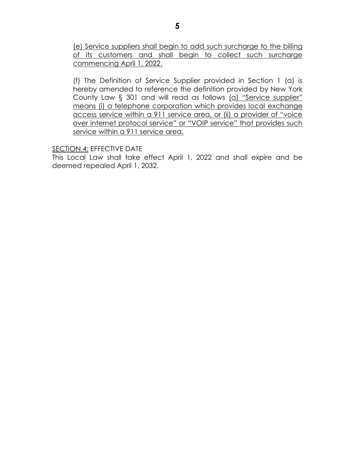(e) Service suppliers shall begin to add such surcharge to the billing of its customers and shall begin to collect such surcharge commencing April 1, 2022.

(f) The Definition of Service Supplier provided in Section 1 (a) is hereby amended to reference the definition provided by New York County Law § 301 and will read as follows (a) "Service supplier" means (i) a telephone corporation which provides local exchange access service within a 911 service area, or (ii) a provider of "voice over internet protocol service" or "VOIP service" that provides such service within a 911 service area.

**SECTION 4: EFFECTIVE DATE** 

This Local Law shall take effect April 1, 2022 and shall expire and be deemed repealed April 1, 2032.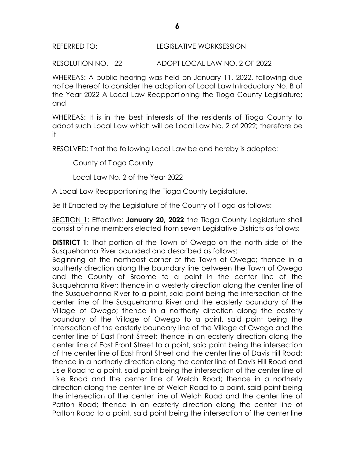# REFERRED TO: LEGISLATIVE WORKSESSION

RESOLUTION NO. -22 ADOPT LOCAL LAW NO. 2 OF 2022

WHEREAS: A public hearing was held on January 11, 2022, following due notice thereof to consider the adoption of Local Law Introductory No. B of the Year 2022 A Local Law Reapportioning the Tioga County Legislature; and

WHEREAS: It is in the best interests of the residents of Tioga County to adopt such Local Law which will be Local Law No. 2 of 2022; therefore be it

RESOLVED: That the following Local Law be and hereby is adopted:

County of Tioga County

Local Law No. 2 of the Year 2022

A Local Law Reapportioning the Tioga County Legislature.

Be It Enacted by the Legislature of the County of Tioga as follows:

SECTION 1: Effective: **January 20, 2022** the Tioga County Legislature shall consist of nine members elected from seven Legislative Districts as follows:

**DISTRICT 1:** That portion of the Town of Owego on the north side of the Susquehanna River bounded and described as follows:

Beginning at the northeast corner of the Town of Owego; thence in a southerly direction along the boundary line between the Town of Owego and the County of Broome to a point in the center line of the Susquehanna River; thence in a westerly direction along the center line of the Susquehanna River to a point, said point being the intersection of the center line of the Susquehanna River and the easterly boundary of the Village of Owego; thence in a northerly direction along the easterly boundary of the Village of Owego to a point, said point being the intersection of the easterly boundary line of the Village of Owego and the center line of East Front Street; thence in an easterly direction along the center line of East Front Street to a point, said point being the intersection of the center line of East Front Street and the center line of Davis Hill Road; thence in a northerly direction along the center line of Davis Hill Road and Lisle Road to a point, said point being the intersection of the center line of Lisle Road and the center line of Welch Road; thence in a northerly direction along the center line of Welch Road to a point, said point being the intersection of the center line of Welch Road and the center line of Patton Road; thence in an easterly direction along the center line of Patton Road to a point, said point being the intersection of the center line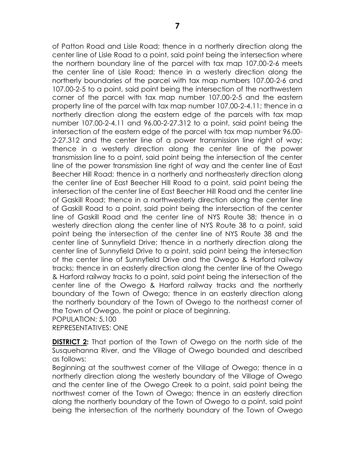of Patton Road and Lisle Road; thence in a northerly direction along the center line of Lisle Road to a point, said point being the intersection where the northern boundary line of the parcel with tax map 107.00-2-6 meets the center line of Lisle Road; thence in a westerly direction along the northerly boundaries of the parcel with tax map numbers 107.00-2-6 and 107.00-2-5 to a point, said point being the intersection of the northwestern corner of the parcel with tax map number 107.00-2-5 and the eastern property line of the parcel with tax map number 107.00-2-4.11; thence in a northerly direction along the eastern edge of the parcels with tax map number 107.00-2-4.11 and 96.00-2-27.312 to a point, said point being the intersection of the eastern edge of the parcel with tax map number 96.00- 2-27.312 and the center line of a power transmission line right of way; thence in a westerly direction along the center line of the power transmission line to a point, said point being the intersection of the center line of the power transmission line right of way and the center line of East Beecher Hill Road; thence in a northerly and northeasterly direction along the center line of East Beecher Hill Road to a point, said point being the intersection of the center line of East Beecher Hill Road and the center line of Gaskill Road; thence in a northwesterly direction along the center line of Gaskill Road to a point, said point being the intersection of the center line of Gaskill Road and the center line of NYS Route 38; thence in a westerly direction along the center line of NYS Route 38 to a point, said point being the intersection of the center line of NYS Route 38 and the center line of Sunnyfield Drive; thence in a northerly direction along the center line of Sunnyfield Drive to a point, said point being the intersection of the center line of Sunnyfield Drive and the Owego & Harford railway tracks; thence in an easterly direction along the center line of the Owego & Harford railway tracks to a point, said point being the intersection of the center line of the Owego & Harford railway tracks and the northerly boundary of the Town of Owego; thence in an easterly direction along the northerly boundary of the Town of Owego to the northeast corner of the Town of Owego, the point or place of beginning. POPULATION: 5,100

REPRESENTATIVES: ONE

**DISTRICT 2:** That portion of the Town of Owego on the north side of the Susquehanna River, and the Village of Owego bounded and described as follows:

Beginning at the southwest corner of the Village of Owego; thence in a northerly direction along the westerly boundary of the Village of Owego and the center line of the Owego Creek to a point, said point being the northwest corner of the Town of Owego; thence in an easterly direction along the northerly boundary of the Town of Owego to a point, said point being the intersection of the northerly boundary of the Town of Owego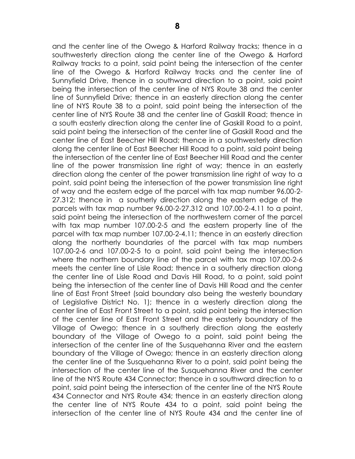and the center line of the Owego & Harford Railway tracks; thence in a southwesterly direction along the center line of the Owego & Harford Railway tracks to a point, said point being the intersection of the center line of the Owego & Harford Railway tracks and the center line of Sunnyfield Drive, thence in a southward direction to a point, said point being the intersection of the center line of NYS Route 38 and the center line of Sunnyfield Drive; thence in an easterly direction along the center line of NYS Route 38 to a point, said point being the intersection of the center line of NYS Route 38 and the center line of Gaskill Road; thence in a south easterly direction along the center line of Gaskill Road to a point, said point being the intersection of the center line of Gaskill Road and the center line of East Beecher Hill Road; thence in a southwesterly direction along the center line of East Beecher Hill Road to a point, said point being the intersection of the center line of East Beecher Hill Road and the center line of the power transmission line right of way; thence in an easterly direction along the center of the power transmission line right of way to a point, said point being the intersection of the power transmission line right of way and the eastern edge of the parcel with tax map number 96.00-2- 27.312; thence in a southerly direction along the eastern edge of the parcels with tax map number 96.00-2-27.312 and 107.00-2-4.11 to a point, said point being the intersection of the northwestern corner of the parcel with tax map number 107.00-2-5 and the eastern property line of the parcel with tax map number 107.00-2-4.11; thence in an easterly direction along the northerly boundaries of the parcel with tax map numbers 107.00-2-6 and 107.00-2-5 to a point, said point being the intersection where the northern boundary line of the parcel with tax map 107.00-2-6 meets the center line of Lisle Road; thence in a southerly direction along the center line of Lisle Road and Davis Hill Road, to a point, said point being the intersection of the center line of Davis Hill Road and the center line of East Front Street (said boundary also being the westerly boundary of Legislative District No. 1); thence in a westerly direction along the center line of East Front Street to a point, said point being the intersection of the center line of East Front Street and the easterly boundary of the Village of Owego; thence in a southerly direction along the easterly boundary of the Village of Owego to a point, said point being the intersection of the center line of the Susquehanna River and the eastern boundary of the Village of Owego; thence in an easterly direction along the center line of the Susquehanna River to a point, said point being the intersection of the center line of the Susquehanna River and the center line of the NYS Route 434 Connector; thence in a southward direction to a point, said point being the intersection of the center line of the NYS Route 434 Connector and NYS Route 434; thence in an easterly direction along the center line of NYS Route 434 to a point, said point being the intersection of the center line of NYS Route 434 and the center line of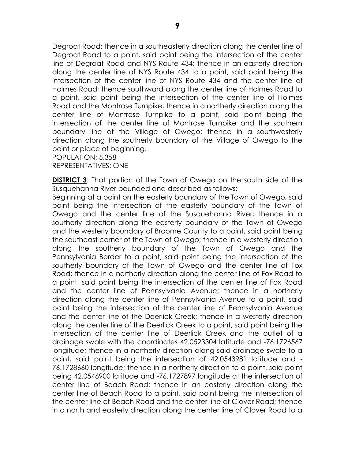Degroat Road; thence in a southeasterly direction along the center line of Degroat Road to a point, said point being the intersection of the center line of Degroat Road and NYS Route 434; thence in an easterly direction along the center line of NYS Route 434 to a point, said point being the intersection of the center line of NYS Route 434 and the center line of Holmes Road; thence southward along the center line of Holmes Road to a point, said point being the intersection of the center line of Holmes Road and the Montrose Turnpike; thence in a northerly direction along the center line of Montrose Turnpike to a point, said point being the intersection of the center line of Montrose Turnpike and the southern boundary line of the Village of Owego; thence in a southwesterly direction along the southerly boundary of the Village of Owego to the point or place of beginning.

POPULATION: 5,358 REPRESENTATIVES: ONE

**DISTRICT 3:** That portion of the Town of Owego on the south side of the Susquehanna River bounded and described as follows:

Beginning at a point on the easterly boundary of the Town of Owego, said point being the intersection of the easterly boundary of the Town of Owego and the center line of the Susquehanna River; thence in a southerly direction along the easterly boundary of the Town of Owego and the westerly boundary of Broome County to a point, said point being the southeast corner of the Town of Owego; thence in a westerly direction along the southerly boundary of the Town of Owego and the Pennsylvania Border to a point, said point being the intersection of the southerly boundary of the Town of Owego and the center line of Fox Road; thence in a northerly direction along the center line of Fox Road to a point, said point being the intersection of the center line of Fox Road and the center line of Pennsylvania Avenue; thence in a northerly direction along the center line of Pennsylvania Avenue to a point, said point being the intersection of the center line of Pennsylvania Avenue and the center line of the Deerlick Creek; thence in a westerly direction along the center line of the Deerlick Creek to a point, said point being the intersection of the center line of Deerlick Creek and the outlet of a drainage swale with the coordinates 42.0523304 latitude and -76.1726567 longitude; thence in a northerly direction along said drainage swale to a point, said point being the intersection of 42.0543981 latitude and - 76.1728660 longitude; thence in a northerly direction to a point, said point being 42.0546900 latitude and -76.1727897 longitude at the intersection of center line of Beach Road; thence in an easterly direction along the center line of Beach Road to a point, said point being the intersection of the center line of Beach Road and the center line of Clover Road; thence in a north and easterly direction along the center line of Clover Road to a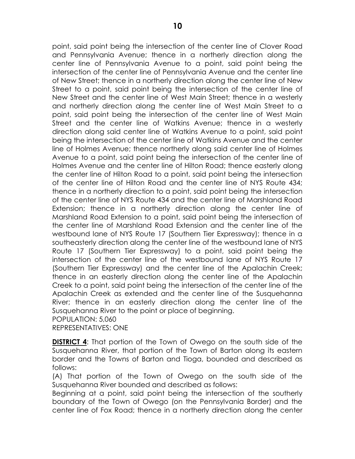point, said point being the intersection of the center line of Clover Road and Pennsylvania Avenue; thence in a northerly direction along the center line of Pennsylvania Avenue to a point, said point being the intersection of the center line of Pennsylvania Avenue and the center line of New Street; thence in a northerly direction along the center line of New Street to a point, said point being the intersection of the center line of New Street and the center line of West Main Street; thence in a westerly and northerly direction along the center line of West Main Street to a point, said point being the intersection of the center line of West Main Street and the center line of Watkins Avenue; thence in a westerly direction along said center line of Watkins Avenue to a point, said point being the intersection of the center line of Watkins Avenue and the center line of Holmes Avenue; thence northerly along said center line of Holmes Avenue to a point, said point being the intersection of the center line of Holmes Avenue and the center line of Hilton Road; thence easterly along the center line of Hilton Road to a point, said point being the intersection of the center line of Hilton Road and the center line of NYS Route 434; thence in a northerly direction to a point, said point being the intersection of the center line of NYS Route 434 and the center line of Marshland Road Extension; thence in a northerly direction along the center line of Marshland Road Extension to a point, said point being the intersection of the center line of Marshland Road Extension and the center line of the westbound lane of NYS Route 17 (Southern Tier Expressway); thence in a southeasterly direction along the center line of the westbound lane of NYS Route 17 (Southern Tier Expressway) to a point, said point being the intersection of the center line of the westbound lane of NYS Route 17 (Southern Tier Expressway) and the center line of the Apalachin Creek; thence in an easterly direction along the center line of the Apalachin Creek to a point, said point being the intersection of the center line of the Apalachin Creek as extended and the center line of the Susquehanna River; thence in an easterly direction along the center line of the Susquehanna River to the point or place of beginning. POPULATION: 5,060

REPRESENTATIVES: ONE

**DISTRICT 4**: That portion of the Town of Owego on the south side of the Susquehanna River, that portion of the Town of Barton along its eastern border and the Towns of Barton and Tioga, bounded and described as follows:

(A) That portion of the Town of Owego on the south side of the Susquehanna River bounded and described as follows:

Beginning at a point, said point being the intersection of the southerly boundary of the Town of Owego (on the Pennsylvania Border) and the center line of Fox Road; thence in a northerly direction along the center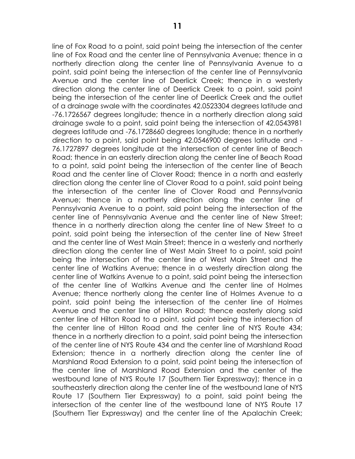line of Fox Road to a point, said point being the intersection of the center line of Fox Road and the center line of Pennsylvania Avenue; thence in a northerly direction along the center line of Pennsylvania Avenue to a point, said point being the intersection of the center line of Pennsylvania

Avenue and the center line of Deerlick Creek; thence in a westerly direction along the center line of Deerlick Creek to a point, said point being the intersection of the center line of Deerlick Creek and the outlet of a drainage swale with the coordinates 42.0523304 degrees latitude and -76.1726567 degrees longitude; thence in a northerly direction along said drainage swale to a point, said point being the intersection of 42.0543981 degrees latitude and -76.1728660 degrees longitude; thence in a northerly direction to a point, said point being 42.0546900 degrees latitude and - 76.1727897 degrees longitude at the intersection of center line of Beach Road; thence in an easterly direction along the center line of Beach Road to a point, said point being the intersection of the center line of Beach Road and the center line of Clover Road; thence in a north and easterly direction along the center line of Clover Road to a point, said point being the intersection of the center line of Clover Road and Pennsylvania Avenue; thence in a northerly direction along the center line of Pennsylvania Avenue to a point, said point being the intersection of the center line of Pennsylvania Avenue and the center line of New Street; thence in a northerly direction along the center line of New Street to a point, said point being the intersection of the center line of New Street and the center line of West Main Street; thence in a westerly and northerly direction along the center line of West Main Street to a point, said point being the intersection of the center line of West Main Street and the center line of Watkins Avenue; thence in a westerly direction along the center line of Watkins Avenue to a point, said point being the intersection of the center line of Watkins Avenue and the center line of Holmes Avenue; thence northerly along the center line of Holmes Avenue to a point, said point being the intersection of the center line of Holmes Avenue and the center line of Hilton Road; thence easterly along said center line of Hilton Road to a point, said point being the intersection of the center line of Hilton Road and the center line of NYS Route 434; thence in a northerly direction to a point, said point being the intersection of the center line of NYS Route 434 and the center line of Marshland Road Extension; thence in a northerly direction along the center line of Marshland Road Extension to a point, said point being the intersection of the center line of Marshland Road Extension and the center of the westbound lane of NYS Route 17 (Southern Tier Expressway); thence in a southeasterly direction along the center line of the westbound lane of NYS Route 17 (Southern Tier Expressway) to a point, said point being the intersection of the center line of the westbound lane of NYS Route 17 (Southern Tier Expressway) and the center line of the Apalachin Creek;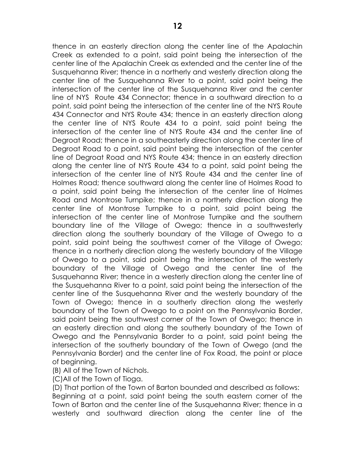thence in an easterly direction along the center line of the Apalachin Creek as extended to a point, said point being the intersection of the center line of the Apalachin Creek as extended and the center line of the Susquehanna River; thence in a northerly and westerly direction along the center line of the Susquehanna River to a point, said point being the intersection of the center line of the Susquehanna River and the center line of NYS Route 434 Connector; thence in a southward direction to a point, said point being the intersection of the center line of the NYS Route 434 Connector and NYS Route 434; thence in an easterly direction along the center line of NYS Route 434 to a point, said point being the intersection of the center line of NYS Route 434 and the center line of Degroat Road; thence in a southeasterly direction along the center line of Degroat Road to a point, said point being the intersection of the center line of Degroat Road and NYS Route 434; thence in an easterly direction along the center line of NYS Route 434 to a point, said point being the intersection of the center line of NYS Route 434 and the center line of Holmes Road; thence southward along the center line of Holmes Road to a point, said point being the intersection of the center line of Holmes Road and Montrose Turnpike; thence in a northerly direction along the center line of Montrose Turnpike to a point, said point being the intersection of the center line of Montrose Turnpike and the southern boundary line of the Village of Owego; thence in a southwesterly direction along the southerly boundary of the Village of Owego to a point, said point being the southwest corner of the Village of Owego; thence in a northerly direction along the westerly boundary of the Village of Owego to a point, said point being the intersection of the westerly boundary of the Village of Owego and the center line of the Susquehanna River; thence in a westerly direction along the center line of the Susquehanna River to a point, said point being the intersection of the center line of the Susquehanna River and the westerly boundary of the Town of Owego; thence in a southerly direction along the westerly boundary of the Town of Owego to a point on the Pennsylvania Border, said point being the southwest corner of the Town of Owego; thence in an easterly direction and along the southerly boundary of the Town of Owego and the Pennsylvania Border to a point, said point being the intersection of the southerly boundary of the Town of Owego (and the Pennsylvania Border) and the center line of Fox Road, the point or place of beginning.

(B) All of the Town of Nichols.

(C)All of the Town of Tioga.

(D) That portion of the Town of Barton bounded and described as follows: Beginning at a point, said point being the south eastern corner of the Town of Barton and the center line of the Susquehanna River; thence in a westerly and southward direction along the center line of the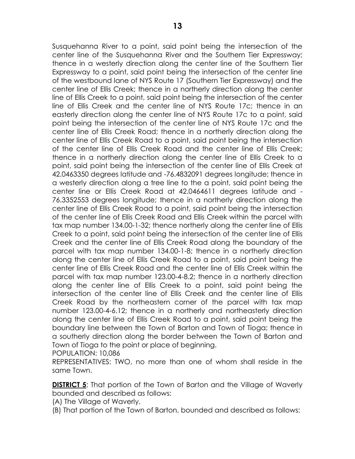Susquehanna River to a point, said point being the intersection of the center line of the Susquehanna River and the Southern Tier Expressway; thence in a westerly direction along the center line of the Southern Tier Expressway to a point, said point being the intersection of the center line of the westbound lane of NYS Route 17 (Southern Tier Expressway) and the center line of Ellis Creek; thence in a northerly direction along the center line of Ellis Creek to a point, said point being the intersection of the center line of Ellis Creek and the center line of NYS Route 17c; thence in an easterly direction along the center line of NYS Route 17c to a point, said point being the intersection of the center line of NYS Route 17c and the center line of Ellis Creek Road; thence in a northerly direction along the center line of Ellis Creek Road to a point, said point being the intersection of the center line of Ellis Creek Road and the center line of Ellis Creek; thence in a northerly direction along the center line of Ellis Creek to a point, said point being the intersection of the center line of Ellis Creek at 42.0463350 degrees latitude and -76.4832091 degrees longitude; thence in a westerly direction along a tree line to the a point, said point being the center line or Ellis Creek Road at 42.0464611 degrees latitude and - 76.3352553 degrees longitude; thence in a northerly direction along the center line of Ellis Creek Road to a point, said point being the intersection of the center line of Ellis Creek Road and Ellis Creek within the parcel with tax map number 134.00-1-32; thence northerly along the center line of Ellis Creek to a point, said point being the intersection of the center line of Ellis Creek and the center line of Ellis Creek Road along the boundary of the parcel with tax map number 134.00-1-8; thence in a northerly direction along the center line of Ellis Creek Road to a point, said point being the center line of Ellis Creek Road and the center line of Ellis Creek within the parcel with tax map number 123.00-4-8.2; thence in a northerly direction along the center line of Ellis Creek to a point, said point being the intersection of the center line of Ellis Creek and the center line of Ellis Creek Road by the northeastern corner of the parcel with tax map number 123.00-4-6.12; thence in a northerly and northeasterly direction along the center line of Ellis Creek Road to a point, said point being the boundary line between the Town of Barton and Town of Tioga; thence in a southerly direction along the border between the Town of Barton and Town of Tioga to the point or place of beginning.

POPULATION: 10,086

REPRESENTATIVES: TWO, no more than one of whom shall reside in the same Town.

**DISTRICT 5:** That portion of the Town of Barton and the Village of Waverly bounded and described as follows:

(A) The Village of Waverly.

(B) That portion of the Town of Barton, bounded and described as follows: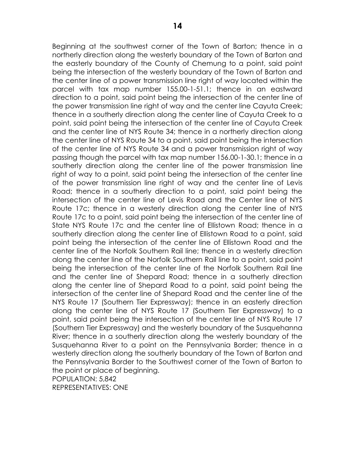Beginning at the southwest corner of the Town of Barton; thence in a northerly direction along the westerly boundary of the Town of Barton and the easterly boundary of the County of Chemung to a point, said point being the intersection of the westerly boundary of the Town of Barton and the center line of a power transmission line right of way located within the parcel with tax map number 155.00-1-51.1; thence in an eastward direction to a point, said point being the intersection of the center line of the power transmission line right of way and the center line Cayuta Creek; thence in a southerly direction along the center line of Cayuta Creek to a point, said point being the intersection of the center line of Cayuta Creek and the center line of NYS Route 34; thence in a northerly direction along the center line of NYS Route 34 to a point, said point being the intersection of the center line of NYS Route 34 and a power transmission right of way passing though the parcel with tax map number 156.00-1-30.1; thence in a southerly direction along the center line of the power transmission line right of way to a point, said point being the intersection of the center line of the power transmission line right of way and the center line of Levis Road; thence in a southerly direction to a point, said point being the intersection of the center line of Levis Road and the Center line of NYS Route 17c; thence in a westerly direction along the center line of NYS Route 17c to a point, said point being the intersection of the center line of State NYS Route 17c and the center line of Ellistown Road; thence in a southerly direction along the center line of Ellistown Road to a point, said point being the intersection of the center line of Ellistown Road and the center line of the Norfolk Southern Rail line; thence in a westerly direction along the center line of the Norfolk Southern Rail line to a point, said point being the intersection of the center line of the Norfolk Southern Rail line and the center line of Shepard Road; thence in a southerly direction along the center line of Shepard Road to a point, said point being the intersection of the center line of Shepard Road and the center line of the NYS Route 17 (Southern Tier Expressway); thence in an easterly direction along the center line of NYS Route 17 (Southern Tier Expressway) to a point, said point being the intersection of the center line of NYS Route 17 (Southern Tier Expressway) and the westerly boundary of the Susquehanna River; thence in a southerly direction along the westerly boundary of the Susquehanna River to a point on the Pennsylvania Border; thence in a westerly direction along the southerly boundary of the Town of Barton and the Pennsylvania Border to the Southwest corner of the Town of Barton to the point or place of beginning. POPULATION: 5,842

REPRESENTATIVES: ONE